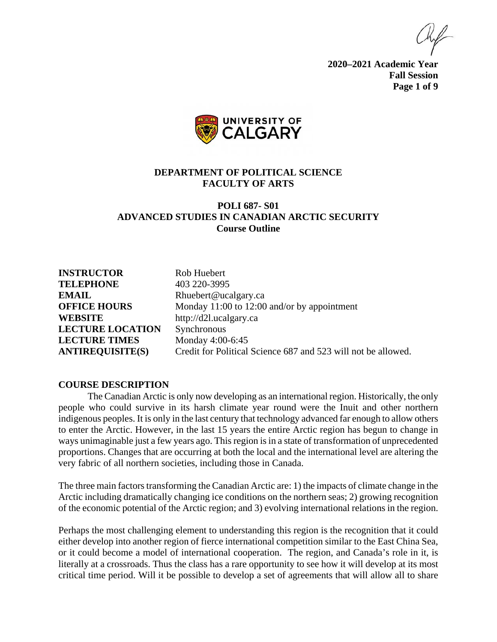**2020–2021 Academic Year Fall Session Page 1 of 9**



#### **DEPARTMENT OF POLITICAL SCIENCE FACULTY OF ARTS**

### **POLI 687- S01 ADVANCED STUDIES IN CANADIAN ARCTIC SECURITY Course Outline**

**INSTRUCTOR** Rob Huebert **TELEPHONE** 403 220-3995 **EMAIL** Rhuebert@ucalgary.ca **WEBSITE** http://d2l.ucalgary.ca **LECTURE LOCATION** Synchronous **LECTURE TIMES** Monday 4:00-6:45

**OFFICE HOURS** Monday 11:00 to 12:00 and/or by appointment **ANTIREQUISITE(S)** Credit for Political Science 687 and 523 will not be allowed.

#### **COURSE DESCRIPTION**

The Canadian Arctic is only now developing as an international region. Historically, the only people who could survive in its harsh climate year round were the Inuit and other northern indigenous peoples. It is only in the last century that technology advanced far enough to allow others to enter the Arctic. However, in the last 15 years the entire Arctic region has begun to change in ways unimaginable just a few years ago. This region is in a state of transformation of unprecedented proportions. Changes that are occurring at both the local and the international level are altering the very fabric of all northern societies, including those in Canada.

The three main factors transforming the Canadian Arctic are: 1) the impacts of climate change in the Arctic including dramatically changing ice conditions on the northern seas; 2) growing recognition of the economic potential of the Arctic region; and 3) evolving international relations in the region.

Perhaps the most challenging element to understanding this region is the recognition that it could either develop into another region of fierce international competition similar to the East China Sea, or it could become a model of international cooperation. The region, and Canada's role in it, is literally at a crossroads. Thus the class has a rare opportunity to see how it will develop at its most critical time period. Will it be possible to develop a set of agreements that will allow all to share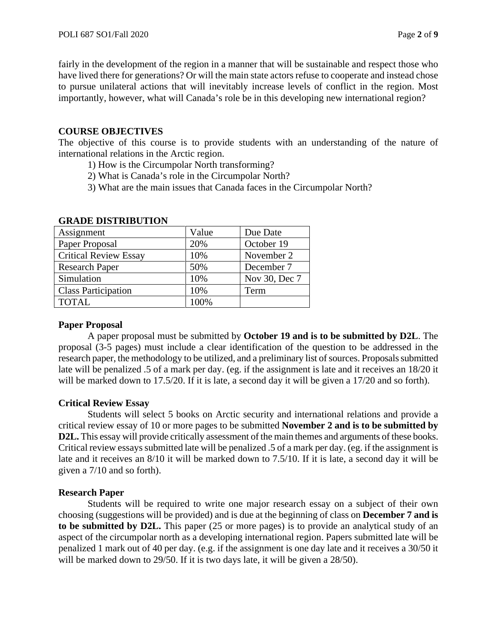fairly in the development of the region in a manner that will be sustainable and respect those who have lived there for generations? Or will the main state actors refuse to cooperate and instead chose to pursue unilateral actions that will inevitably increase levels of conflict in the region. Most importantly, however, what will Canada's role be in this developing new international region?

## **COURSE OBJECTIVES**

The objective of this course is to provide students with an understanding of the nature of international relations in the Arctic region.

- 1) How is the Circumpolar North transforming?
- 2) What is Canada's role in the Circumpolar North?
- 3) What are the main issues that Canada faces in the Circumpolar North?

| Assignment                   | Value | Due Date      |
|------------------------------|-------|---------------|
| Paper Proposal               | 20%   | October 19    |
| <b>Critical Review Essay</b> | 10%   | November 2    |
| <b>Research Paper</b>        | 50%   | December 7    |
| Simulation                   | 10%   | Nov 30, Dec 7 |
| <b>Class Participation</b>   | 10%   | Term          |
| <b>TOTAL</b>                 | 100%  |               |

### **GRADE DISTRIBUTION**

# **Paper Proposal**

A paper proposal must be submitted by **October 19 and is to be submitted by D2L**. The proposal (3-5 pages) must include a clear identification of the question to be addressed in the research paper, the methodology to be utilized, and a preliminary list of sources. Proposals submitted late will be penalized .5 of a mark per day. (eg. if the assignment is late and it receives an 18/20 it will be marked down to 17.5/20. If it is late, a second day it will be given a 17/20 and so forth).

# **Critical Review Essay**

Students will select 5 books on Arctic security and international relations and provide a critical review essay of 10 or more pages to be submitted **November 2 and is to be submitted by D2L.** This essay will provide critically assessment of the main themes and arguments of these books. Critical review essays submitted late will be penalized .5 of a mark per day. (eg. if the assignment is late and it receives an 8/10 it will be marked down to 7.5/10. If it is late, a second day it will be given a 7/10 and so forth).

# **Research Paper**

Students will be required to write one major research essay on a subject of their own choosing (suggestions will be provided) and is due at the beginning of class on **December 7 and is to be submitted by D2L.** This paper (25 or more pages) is to provide an analytical study of an aspect of the circumpolar north as a developing international region. Papers submitted late will be penalized 1 mark out of 40 per day. (e.g. if the assignment is one day late and it receives a 30/50 it will be marked down to 29/50. If it is two days late, it will be given a 28/50).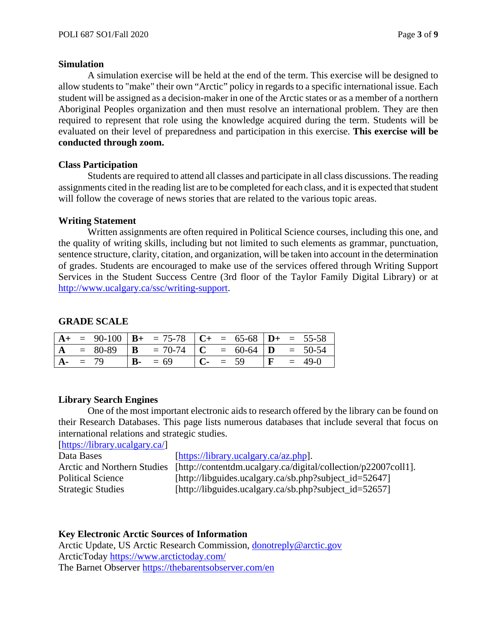#### **Simulation**

A simulation exercise will be held at the end of the term. This exercise will be designed to allow students to "make" their own "Arctic" policy in regards to a specific international issue. Each student will be assigned as a decision-maker in one of the Arctic states or as a member of a northern Aboriginal Peoples organization and then must resolve an international problem. They are then required to represent that role using the knowledge acquired during the term. Students will be evaluated on their level of preparedness and participation in this exercise. **This exercise will be conducted through zoom.**

## **Class Participation**

Students are required to attend all classes and participate in all class discussions. The reading assignments cited in the reading list are to be completed for each class, and it is expected that student will follow the coverage of news stories that are related to the various topic areas.

## **Writing Statement**

Written assignments are often required in Political Science courses, including this one, and the quality of writing skills, including but not limited to such elements as grammar, punctuation, sentence structure, clarity, citation, and organization, will be taken into account in the determination of grades. Students are encouraged to make use of the services offered through Writing Support Services in the Student Success Centre (3rd floor of the Taylor Family Digital Library) or at [http://www.ucalgary.ca/ssc/writing-support.](http://www.ucalgary.ca/ssc/writing-support)

# **GRADE SCALE**

|            |  | $A+$ = 90-100   $B+$ = 75-78   $C+$ = 65-68   $D+$ = 55-58 |  |          |  |            |
|------------|--|------------------------------------------------------------|--|----------|--|------------|
|            |  | $A = 80-89$ $B = 70-74$ $C = 60-64$ $D = 50-54$            |  |          |  |            |
| $A - = 79$ |  | $B - 69$                                                   |  | $C - 59$ |  | $F = 49-0$ |

### **Library Search Engines**

One of the most important electronic aids to research offered by the library can be found on their Research Databases. This page lists numerous databases that include several that focus on international relations and strategic studies.

[\[https://library.ucalgary.ca/\]](https://library.ucalgary.ca/)

Data Bases [\[https://library.ucalgary.ca/az.php\]](https://library.ucalgary.ca/az.php). Arctic and Northern Studies [http://contentdm.ucalgary.ca/digital/collection/p22007coll1]. Political Science [http://libguides.ucalgary.ca/sb.php?subject\_id=52647] Strategic Studies [http://libguides.ucalgary.ca/sb.php?subject\_id=52657]

### **Key Electronic Arctic Sources of Information**

Arctic Update, US Arctic Research Commission, [donotreply@arctic.gov](mailto:donotreply@arctic.gov) ArcticToday<https://www.arctictoday.com/> The Barnet Observer<https://thebarentsobserver.com/en>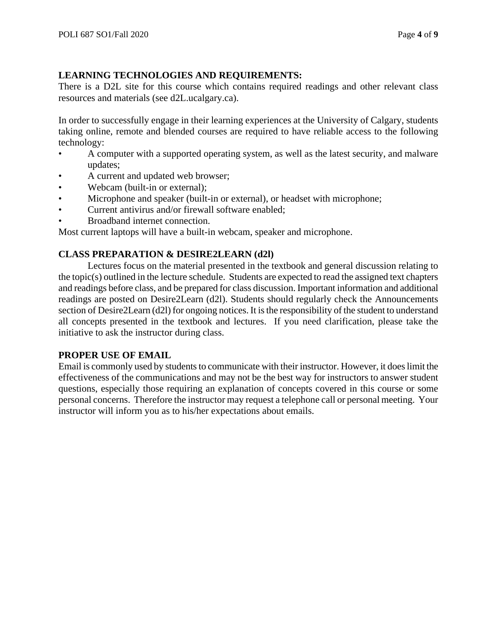## **LEARNING TECHNOLOGIES AND REQUIREMENTS:**

There is a D2L site for this course which contains required readings and other relevant class resources and materials (see d2L.ucalgary.ca).

In order to successfully engage in their learning experiences at the University of Calgary, students taking online, remote and blended courses are required to have reliable access to the following technology:

- A computer with a supported operating system, as well as the latest security, and malware updates;
- A current and updated web browser;
- Webcam (built-in or external);
- Microphone and speaker (built-in or external), or headset with microphone;
- Current antivirus and/or firewall software enabled;
- Broadband internet connection.

Most current laptops will have a built-in webcam, speaker and microphone.

## **CLASS PREPARATION & DESIRE2LEARN (d2l)**

Lectures focus on the material presented in the textbook and general discussion relating to the topic(s) outlined in the lecture schedule. Students are expected to read the assigned text chapters and readings before class, and be prepared for class discussion. Important information and additional readings are posted on Desire2Learn (d2l). Students should regularly check the Announcements section of Desire2Learn (d2l) for ongoing notices. It is the responsibility of the student to understand all concepts presented in the textbook and lectures. If you need clarification, please take the initiative to ask the instructor during class.

# **PROPER USE OF EMAIL**

Email is commonly used by students to communicate with their instructor. However, it does limit the effectiveness of the communications and may not be the best way for instructors to answer student questions, especially those requiring an explanation of concepts covered in this course or some personal concerns. Therefore the instructor may request a telephone call or personal meeting. Your instructor will inform you as to his/her expectations about emails.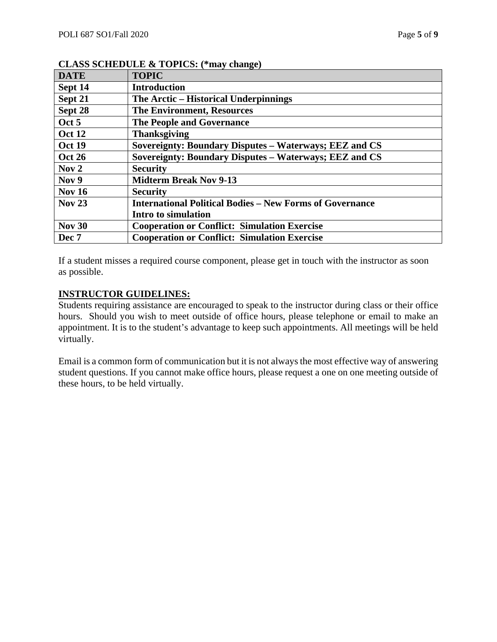| <b>DATE</b>   | <b>TOPIC</b>                                                    |
|---------------|-----------------------------------------------------------------|
| Sept 14       | <b>Introduction</b>                                             |
| Sept 21       | The Arctic – Historical Underpinnings                           |
| Sept 28       | <b>The Environment, Resources</b>                               |
| Oct 5         | <b>The People and Governance</b>                                |
| <b>Oct 12</b> | <b>Thanksgiving</b>                                             |
| <b>Oct 19</b> | Sovereignty: Boundary Disputes - Waterways; EEZ and CS          |
| <b>Oct 26</b> | Sovereignty: Boundary Disputes - Waterways; EEZ and CS          |
| Now 2         | <b>Security</b>                                                 |
| Nov 9         | <b>Midterm Break Nov 9-13</b>                                   |
| Nov $16$      | <b>Security</b>                                                 |
| <b>Nov 23</b> | <b>International Political Bodies – New Forms of Governance</b> |
|               | Intro to simulation                                             |
| <b>Nov 30</b> | <b>Cooperation or Conflict: Simulation Exercise</b>             |
| Dec 7         | <b>Cooperation or Conflict: Simulation Exercise</b>             |

#### **CLASS SCHEDULE & TOPICS: (\*may change)**

If a student misses a required course component, please get in touch with the instructor as soon as possible.

### **INSTRUCTOR GUIDELINES:**

Students requiring assistance are encouraged to speak to the instructor during class or their office hours. Should you wish to meet outside of office hours, please telephone or email to make an appointment. It is to the student's advantage to keep such appointments. All meetings will be held virtually.

Email is a common form of communication but it is not always the most effective way of answering student questions. If you cannot make office hours, please request a one on one meeting outside of these hours, to be held virtually.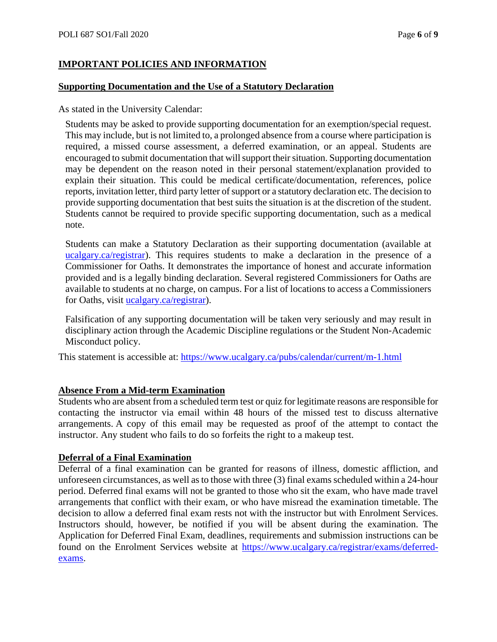## **IMPORTANT POLICIES AND INFORMATION**

#### **Supporting Documentation and the Use of a Statutory Declaration**

As stated in the University Calendar:

Students may be asked to provide supporting documentation for an exemption/special request. This may include, but is not limited to, a prolonged absence from a course where participation is required, a missed course assessment, a deferred examination, or an appeal. Students are encouraged to submit documentation that will support their situation. Supporting documentation may be dependent on the reason noted in their personal statement/explanation provided to explain their situation. This could be medical certificate/documentation, references, police reports, invitation letter, third party letter of support or a statutory declaration etc. The decision to provide supporting documentation that best suits the situation is at the discretion of the student. Students cannot be required to provide specific supporting documentation, such as a medical note.

Students can make a Statutory Declaration as their supporting documentation (available at [ucalgary.ca/registrar\)](http://www.ucalgary.ca/registrar). This requires students to make a declaration in the presence of a Commissioner for Oaths. It demonstrates the importance of honest and accurate information provided and is a legally binding declaration. Several registered Commissioners for Oaths are available to students at no charge, on campus. For a list of locations to access a Commissioners for Oaths, visit [ucalgary.ca/registrar\)](http://www.ucalgary.ca/registrar).

Falsification of any supporting documentation will be taken very seriously and may result in disciplinary action through the Academic Discipline regulations or the Student Non-Academic Misconduct policy.

This statement is accessible at:<https://www.ucalgary.ca/pubs/calendar/current/m-1.html>

### **Absence From a Mid-term Examination**

Students who are absent from a scheduled term test or quiz for legitimate reasons are responsible for contacting the instructor via email within 48 hours of the missed test to discuss alternative arrangements. A copy of this email may be requested as proof of the attempt to contact the instructor. Any student who fails to do so forfeits the right to a makeup test.

### **Deferral of a Final Examination**

Deferral of a final examination can be granted for reasons of illness, domestic affliction, and unforeseen circumstances, as well as to those with three (3) final exams scheduled within a 24-hour period. Deferred final exams will not be granted to those who sit the exam, who have made travel arrangements that conflict with their exam, or who have misread the examination timetable. The decision to allow a deferred final exam rests not with the instructor but with Enrolment Services. Instructors should, however, be notified if you will be absent during the examination. The Application for Deferred Final Exam, deadlines, requirements and submission instructions can be found on the Enrolment Services website at [https://www.ucalgary.ca/registrar/exams/deferred](https://www.ucalgary.ca/registrar/exams/deferred-exams)[exams.](https://www.ucalgary.ca/registrar/exams/deferred-exams)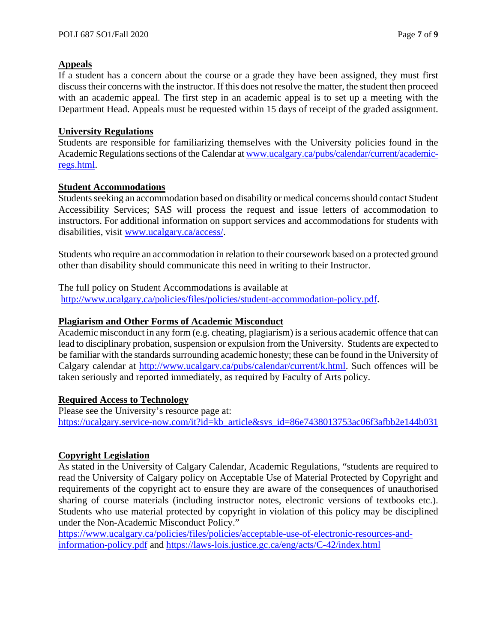### **Appeals**

If a student has a concern about the course or a grade they have been assigned, they must first discuss their concerns with the instructor. If this does not resolve the matter, the student then proceed with an academic appeal. The first step in an academic appeal is to set up a meeting with the Department Head. Appeals must be requested within 15 days of receipt of the graded assignment.

#### **University Regulations**

Students are responsible for familiarizing themselves with the University policies found in the Academic Regulations sections of the Calendar a[t www.ucalgary.ca/pubs/calendar/current/academic](http://www.ucalgary.ca/pubs/calendar/current/academic-regs.html)[regs.html.](http://www.ucalgary.ca/pubs/calendar/current/academic-regs.html)

#### **Student Accommodations**

Students seeking an accommodation based on disability or medical concerns should contact Student Accessibility Services; SAS will process the request and issue letters of accommodation to instructors. For additional information on support services and accommodations for students with disabilities, visit [www.ucalgary.ca/access/.](http://www.ucalgary.ca/access/)

Students who require an accommodation in relation to their coursework based on a protected ground other than disability should communicate this need in writing to their Instructor.

The full policy on Student Accommodations is available at

[http://www.ucalgary.ca/policies/files/policies/student-accommodation-policy.pdf.](http://www.ucalgary.ca/policies/files/policies/student-accommodation-policy.pdf)

#### **Plagiarism and Other Forms of Academic Misconduct**

Academic misconduct in any form (e.g. cheating, plagiarism) is a serious academic offence that can lead to disciplinary probation, suspension or expulsion from the University. Students are expected to be familiar with the standards surrounding academic honesty; these can be found in the University of Calgary calendar at [http://www.ucalgary.ca/pubs/calendar/current/k.html.](http://www.ucalgary.ca/pubs/calendar/current/k.html) Such offences will be taken seriously and reported immediately, as required by Faculty of Arts policy.

### **Required Access to Technology**

Please see the University's resource page at: [https://ucalgary.service-now.com/it?id=kb\\_article&sys\\_id=86e7438013753ac06f3afbb2e144b031](https://ucalgary.service-now.com/it?id=kb_article&sys_id=86e7438013753ac06f3afbb2e144b031)

### **Copyright Legislation**

As stated in the University of Calgary Calendar, Academic Regulations, "students are required to read the University of Calgary policy on Acceptable Use of Material Protected by Copyright and requirements of the copyright act to ensure they are aware of the consequences of unauthorised sharing of course materials (including instructor notes, electronic versions of textbooks etc.). Students who use material protected by copyright in violation of this policy may be disciplined under the Non-Academic Misconduct Policy."

[https://www.ucalgary.ca/policies/files/policies/acceptable-use-of-electronic-resources-and](https://www.ucalgary.ca/policies/files/policies/acceptable-use-of-electronic-resources-and-information-policy.pdf)[information-policy.pdf](https://www.ucalgary.ca/policies/files/policies/acceptable-use-of-electronic-resources-and-information-policy.pdf) and<https://laws-lois.justice.gc.ca/eng/acts/C-42/index.html>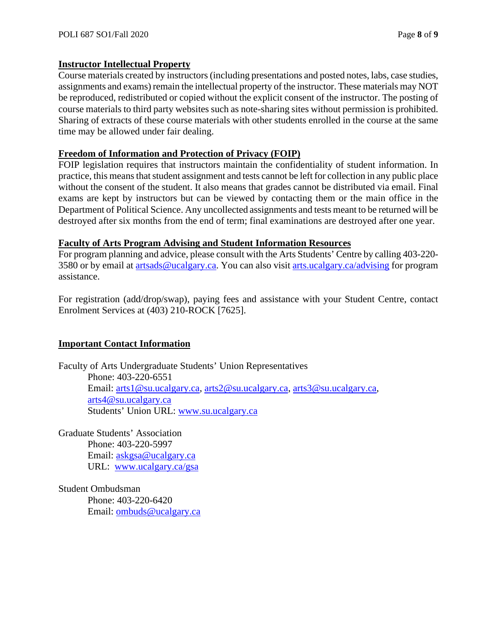### **Instructor Intellectual Property**

Course materials created by instructors (including presentations and posted notes, labs, case studies, assignments and exams) remain the intellectual property of the instructor. These materials may NOT be reproduced, redistributed or copied without the explicit consent of the instructor. The posting of course materials to third party websites such as note-sharing sites without permission is prohibited. Sharing of extracts of these course materials with other students enrolled in the course at the same time may be allowed under fair dealing.

#### **Freedom of Information and Protection of Privacy (FOIP)**

FOIP legislation requires that instructors maintain the confidentiality of student information. In practice, this means that student assignment and tests cannot be left for collection in any public place without the consent of the student. It also means that grades cannot be distributed via email. Final exams are kept by instructors but can be viewed by contacting them or the main office in the Department of Political Science. Any uncollected assignments and tests meant to be returned will be destroyed after six months from the end of term; final examinations are destroyed after one year.

#### **Faculty of Arts Program Advising and Student Information Resources**

For program planning and advice, please consult with the Arts Students' Centre by calling 403-220- 3580 or by email at [artsads@ucalgary.ca.](mailto:artsads@ucalgary.ca) You can also visit [arts.ucalgary.ca/advising](http://arts.ucalgary.ca/advising) for program assistance.

For registration (add/drop/swap), paying fees and assistance with your Student Centre, contact Enrolment Services at (403) 210-ROCK [7625].

### **Important Contact Information**

Faculty of Arts Undergraduate Students' Union Representatives Phone: 403-220-6551 Email: [arts1@su.ucalgary.ca,](mailto:arts1@su.ucalgary.ca) [arts2@su.ucalgary.ca,](mailto:arts2@su.ucalgary.ca) [arts3@su.ucalgary.ca,](mailto:arts3@su.ucalgary.ca) [arts4@su.ucalgary.ca](mailto:arts4@su.ucalgary.ca) Students' Union URL: [www.su.ucalgary.ca](http://www.su.ucalgary.ca/)

Graduate Students' Association Phone: 403-220-5997 Email: [askgsa@ucalgary.ca](mailto:askgsa@ucalgary.ca) URL: [www.ucalgary.ca/gsa](http://www.ucalgary.ca/gsa)

Student Ombudsman Phone: 403-220-6420 Email: [ombuds@ucalgary.ca](mailto:ombuds@ucalgary.ca)